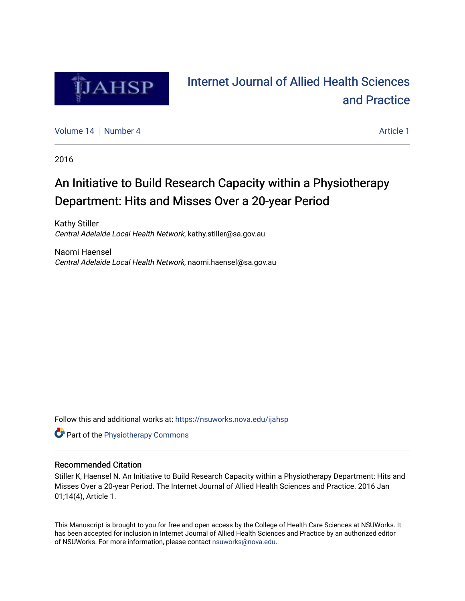

# [Internet Journal of Allied Health Sciences](https://nsuworks.nova.edu/ijahsp)  [and Practice](https://nsuworks.nova.edu/ijahsp)

[Volume 14](https://nsuworks.nova.edu/ijahsp/vol14) | [Number 4](https://nsuworks.nova.edu/ijahsp/vol14/iss4) Article 1

2016

# An Initiative to Build Research Capacity within a Physiotherapy Department: Hits and Misses Over a 20-year Period

Kathy Stiller Central Adelaide Local Health Network, kathy.stiller@sa.gov.au

Naomi Haensel Central Adelaide Local Health Network, naomi.haensel@sa.gov.au

Follow this and additional works at: [https://nsuworks.nova.edu/ijahsp](https://nsuworks.nova.edu/ijahsp?utm_source=nsuworks.nova.edu%2Fijahsp%2Fvol14%2Fiss4%2F1&utm_medium=PDF&utm_campaign=PDFCoverPages) 

**Part of the Physiotherapy Commons** 

### Recommended Citation

Stiller K, Haensel N. An Initiative to Build Research Capacity within a Physiotherapy Department: Hits and Misses Over a 20-year Period. The Internet Journal of Allied Health Sciences and Practice. 2016 Jan 01;14(4), Article 1.

This Manuscript is brought to you for free and open access by the College of Health Care Sciences at NSUWorks. It has been accepted for inclusion in Internet Journal of Allied Health Sciences and Practice by an authorized editor of NSUWorks. For more information, please contact [nsuworks@nova.edu.](mailto:nsuworks@nova.edu)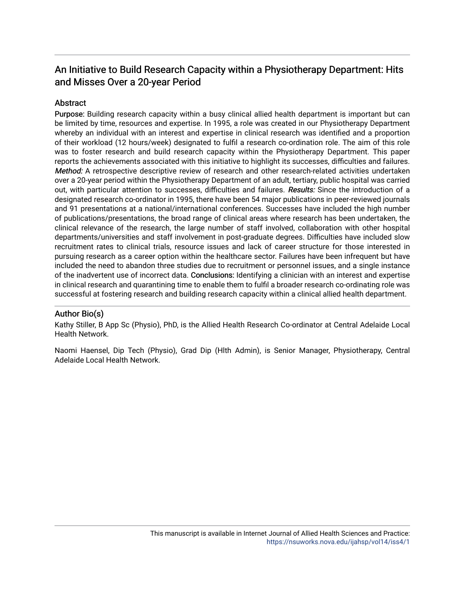## An Initiative to Build Research Capacity within a Physiotherapy Department: Hits and Misses Over a 20-year Period

## **Abstract**

Purpose: Building research capacity within a busy clinical allied health department is important but can be limited by time, resources and expertise. In 1995, a role was created in our Physiotherapy Department whereby an individual with an interest and expertise in clinical research was identified and a proportion of their workload (12 hours/week) designated to fulfil a research co-ordination role. The aim of this role was to foster research and build research capacity within the Physiotherapy Department. This paper reports the achievements associated with this initiative to highlight its successes, difficulties and failures. Method: A retrospective descriptive review of research and other research-related activities undertaken over a 20-year period within the Physiotherapy Department of an adult, tertiary, public hospital was carried out, with particular attention to successes, difficulties and failures. Results: Since the introduction of a designated research co-ordinator in 1995, there have been 54 major publications in peer-reviewed journals and 91 presentations at a national/international conferences. Successes have included the high number of publications/presentations, the broad range of clinical areas where research has been undertaken, the clinical relevance of the research, the large number of staff involved, collaboration with other hospital departments/universities and staff involvement in post-graduate degrees. Difficulties have included slow recruitment rates to clinical trials, resource issues and lack of career structure for those interested in pursuing research as a career option within the healthcare sector. Failures have been infrequent but have included the need to abandon three studies due to recruitment or personnel issues, and a single instance of the inadvertent use of incorrect data. Conclusions: Identifying a clinician with an interest and expertise in clinical research and quarantining time to enable them to fulfil a broader research co-ordinating role was successful at fostering research and building research capacity within a clinical allied health department.

### Author Bio(s)

Kathy Stiller, B App Sc (Physio), PhD, is the Allied Health Research Co-ordinator at Central Adelaide Local Health Network.

Naomi Haensel, Dip Tech (Physio), Grad Dip (Hlth Admin), is Senior Manager, Physiotherapy, Central Adelaide Local Health Network.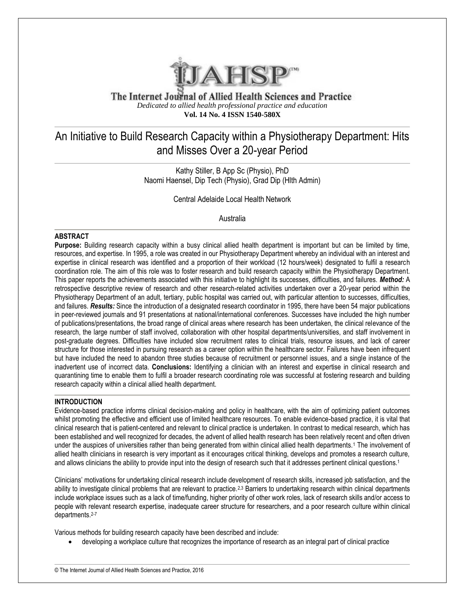

The Internet Journal of Allied Health Sciences and Practice *Dedicated to allied health professional practice and education* **Vol. 14 No. 4 ISSN 1540-580X**

# An Initiative to Build Research Capacity within a Physiotherapy Department: Hits and Misses Over a 20-year Period

Kathy Stiller, B App Sc (Physio), PhD Naomi Haensel, Dip Tech (Physio), Grad Dip (Hlth Admin)

Central Adelaide Local Health Network

Australia

#### **ABSTRACT**

**Purpose:** Building research capacity within a busy clinical allied health department is important but can be limited by time, resources, and expertise. In 1995, a role was created in our Physiotherapy Department whereby an individual with an interest and expertise in clinical research was identified and a proportion of their workload (12 hours/week) designated to fulfil a research coordination role. The aim of this role was to foster research and build research capacity within the Physiotherapy Department. This paper reports the achievements associated with this initiative to highlight its successes, difficulties, and failures. *Method:* A retrospective descriptive review of research and other research-related activities undertaken over a 20-year period within the Physiotherapy Department of an adult, tertiary, public hospital was carried out, with particular attention to successes, difficulties, and failures. *Results:* Since the introduction of a designated research coordinator in 1995, there have been 54 major publications in peer-reviewed journals and 91 presentations at national/international conferences. Successes have included the high number of publications/presentations, the broad range of clinical areas where research has been undertaken, the clinical relevance of the research, the large number of staff involved, collaboration with other hospital departments/universities, and staff involvement in post-graduate degrees. Difficulties have included slow recruitment rates to clinical trials, resource issues, and lack of career structure for those interested in pursuing research as a career option within the healthcare sector. Failures have been infrequent but have included the need to abandon three studies because of recruitment or personnel issues, and a single instance of the inadvertent use of incorrect data. **Conclusions:** Identifying a clinician with an interest and expertise in clinical research and quarantining time to enable them to fulfil a broader research coordinating role was successful at fostering research and building research capacity within a clinical allied health department.

#### **INTRODUCTION**

Evidence-based practice informs clinical decision-making and policy in healthcare, with the aim of optimizing patient outcomes whilst promoting the effective and efficient use of limited healthcare resources. To enable evidence-based practice, it is vital that clinical research that is patient-centered and relevant to clinical practice is undertaken. In contrast to medical research, which has been established and well recognized for decades, the advent of allied health research has been relatively recent and often driven under the auspices of universities rather than being generated from within clinical allied health departments.<sup>1</sup> The involvement of allied health clinicians in research is very important as it encourages critical thinking, develops and promotes a research culture, and allows clinicians the ability to provide input into the design of research such that it addresses pertinent clinical questions.<sup>1</sup>

Clinicians' motivations for undertaking clinical research include development of research skills, increased job satisfaction, and the ability to investigate clinical problems that are relevant to practice.<sup>2,3</sup> Barriers to undertaking research within clinical departments include workplace issues such as a lack of time/funding, higher priority of other work roles, lack of research skills and/or access to people with relevant research expertise, inadequate career structure for researchers, and a poor research culture within clinical departments.2-7

Various methods for building research capacity have been described and include:

developing a workplace culture that recognizes the importance of research as an integral part of clinical practice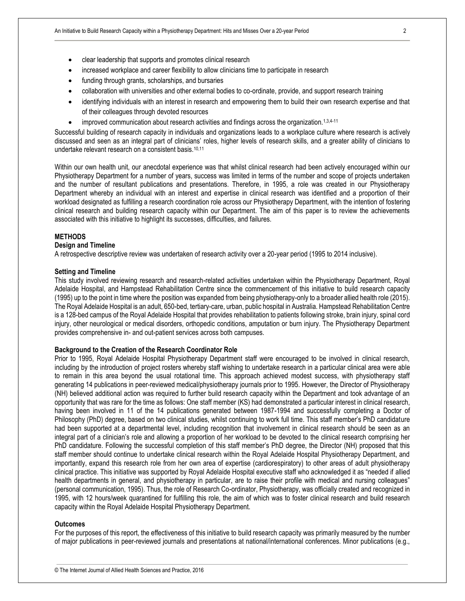- clear leadership that supports and promotes clinical research
- increased workplace and career flexibility to allow clinicians time to participate in research
- funding through grants, scholarships, and bursaries
- collaboration with universities and other external bodies to co-ordinate, provide, and support research training
- identifying individuals with an interest in research and empowering them to build their own research expertise and that of their colleagues through devoted resources
- improved communication about research activities and findings across the organization.<sup>1,3,4-11</sup>

Successful building of research capacity in individuals and organizations leads to a workplace culture where research is actively discussed and seen as an integral part of clinicians' roles, higher levels of research skills, and a greater ability of clinicians to undertake relevant research on a consistent basis.10,11

Within our own health unit, our anecdotal experience was that whilst clinical research had been actively encouraged within our Physiotherapy Department for a number of years, success was limited in terms of the number and scope of projects undertaken and the number of resultant publications and presentations. Therefore, in 1995, a role was created in our Physiotherapy Department whereby an individual with an interest and expertise in clinical research was identified and a proportion of their workload designated as fulfilling a research coordination role across our Physiotherapy Department, with the intention of fostering clinical research and building research capacity within our Department. The aim of this paper is to review the achievements associated with this initiative to highlight its successes, difficulties, and failures.

#### **METHODS**

#### **Design and Timeline**

A retrospective descriptive review was undertaken of research activity over a 20-year period (1995 to 2014 inclusive).

#### **Setting and Timeline**

This study involved reviewing research and research-related activities undertaken within the Physiotherapy Department, Royal Adelaide Hospital, and Hampstead Rehabilitation Centre since the commencement of this initiative to build research capacity (1995) up to the point in time where the position was expanded from being physiotherapy-only to a broader allied health role (2015). The Royal Adelaide Hospital is an adult, 650-bed, tertiary-care, urban, public hospital in Australia. Hampstead Rehabilitation Centre is a 128-bed campus of the Royal Adelaide Hospital that provides rehabilitation to patients following stroke, brain injury, spinal cord injury, other neurological or medical disorders, orthopedic conditions, amputation or burn injury. The Physiotherapy Department provides comprehensive in- and out-patient services across both campuses.

#### **Background to the Creation of the Research Coordinator Role**

Prior to 1995, Royal Adelaide Hospital Physiotherapy Department staff were encouraged to be involved in clinical research, including by the introduction of project rosters whereby staff wishing to undertake research in a particular clinical area were able to remain in this area beyond the usual rotational time. This approach achieved modest success, with physiotherapy staff generating 14 publications in peer-reviewed medical/physiotherapy journals prior to 1995. However, the Director of Physiotherapy (NH) believed additional action was required to further build research capacity within the Department and took advantage of an opportunity that was rare for the time as follows: One staff member (KS) had demonstrated a particular interest in clinical research, having been involved in 11 of the 14 publications generated between 1987-1994 and successfully completing a Doctor of Philosophy (PhD) degree, based on two clinical studies, whilst continuing to work full time. This staff member's PhD candidature had been supported at a departmental level, including recognition that involvement in clinical research should be seen as an integral part of a clinician's role and allowing a proportion of her workload to be devoted to the clinical research comprising her PhD candidature. Following the successful completion of this staff member's PhD degree, the Director (NH) proposed that this staff member should continue to undertake clinical research within the Royal Adelaide Hospital Physiotherapy Department, and importantly, expand this research role from her own area of expertise (cardiorespiratory) to other areas of adult physiotherapy clinical practice. This initiative was supported by Royal Adelaide Hospital executive staff who acknowledged it as "needed if allied health departments in general, and physiotherapy in particular, are to raise their profile with medical and nursing colleagues" (personal communication, 1995). Thus, the role of Research Co-ordinator, Physiotherapy, was officially created and recognized in 1995, with 12 hours/week quarantined for fulfilling this role, the aim of which was to foster clinical research and build research capacity within the Royal Adelaide Hospital Physiotherapy Department.

#### **Outcomes**

For the purposes of this report, the effectiveness of this initiative to build research capacity was primarily measured by the number of major publications in peer-reviewed journals and presentations at national/international conferences. Minor publications (e.g.,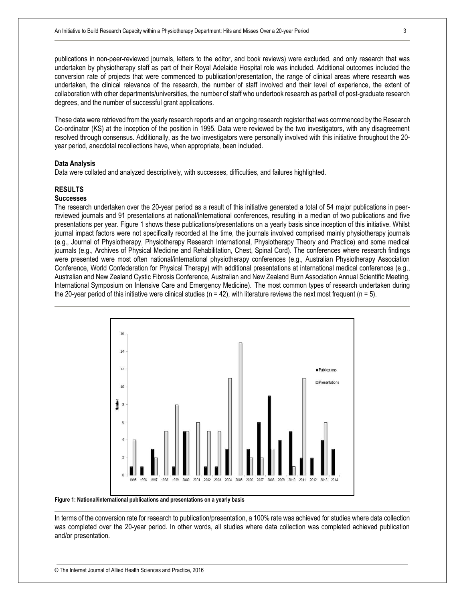publications in non-peer-reviewed journals, letters to the editor, and book reviews) were excluded, and only research that was undertaken by physiotherapy staff as part of their Royal Adelaide Hospital role was included. Additional outcomes included the conversion rate of projects that were commenced to publication/presentation, the range of clinical areas where research was undertaken, the clinical relevance of the research, the number of staff involved and their level of experience, the extent of collaboration with other departments/universities, the number of staff who undertook research as part/all of post-graduate research degrees, and the number of successful grant applications.

These data were retrieved from the yearly research reports and an ongoing research register that was commenced by the Research Co-ordinator (KS) at the inception of the position in 1995. Data were reviewed by the two investigators, with any disagreement resolved through consensus. Additionally, as the two investigators were personally involved with this initiative throughout the 20 year period, anecdotal recollections have, when appropriate, been included.

#### **Data Analysis**

Data were collated and analyzed descriptively, with successes, difficulties, and failures highlighted.

#### **RESULTS**

#### **Successes**

The research undertaken over the 20-year period as a result of this initiative generated a total of 54 major publications in peerreviewed journals and 91 presentations at national/international conferences, resulting in a median of two publications and five presentations per year. Figure 1 shows these publications/presentations on a yearly basis since inception of this initiative. Whilst journal impact factors were not specifically recorded at the time, the journals involved comprised mainly physiotherapy journals (e.g., Journal of Physiotherapy, Physiotherapy Research International, Physiotherapy Theory and Practice) and some medical journals (e.g., Archives of Physical Medicine and Rehabilitation, Chest, Spinal Cord). The conferences where research findings were presented were most often national/international physiotherapy conferences (e.g., Australian Physiotherapy Association Conference, World Confederation for Physical Therapy) with additional presentations at international medical conferences (e.g., Australian and New Zealand Cystic Fibrosis Conference, Australian and New Zealand Burn Association Annual Scientific Meeting, International Symposium on Intensive Care and Emergency Medicine). The most common types of research undertaken during the 20-year period of this initiative were clinical studies ( $n = 42$ ), with literature reviews the next most frequent ( $n = 5$ ).



**Figure 1: National/international publications and presentations on a yearly basis**

In terms of the conversion rate for research to publication/presentation, a 100% rate was achieved for studies where data collection was completed over the 20-year period. In other words, all studies where data collection was completed achieved publication and/or presentation.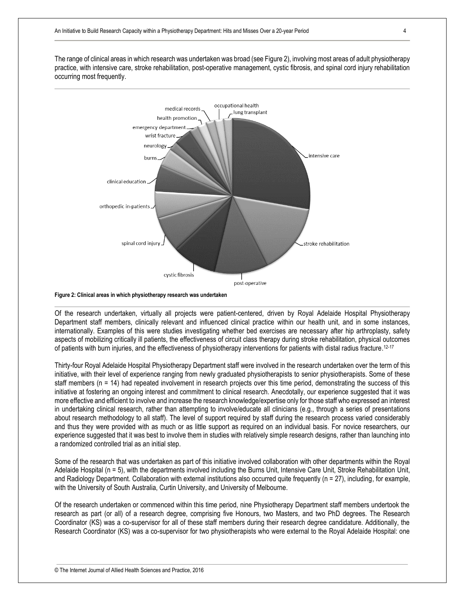The range of clinical areas in which research was undertaken was broad (see Figure 2), involving most areas of adult physiotherapy practice, with intensive care, stroke rehabilitation, post-operative management, cystic fibrosis, and spinal cord injury rehabilitation occurring most frequently.



**Figure 2: Clinical areas in which physiotherapy research was undertaken**

Of the research undertaken, virtually all projects were patient-centered, driven by Royal Adelaide Hospital Physiotherapy Department staff members, clinically relevant and influenced clinical practice within our health unit, and in some instances, internationally. Examples of this were studies investigating whether bed exercises are necessary after hip arthroplasty, safety aspects of mobilizing critically ill patients, the effectiveness of circuit class therapy during stroke rehabilitation, physical outcomes of patients with burn injuries, and the effectiveness of physiotherapy interventions for patients with distal radius fracture.<sup>12-17</sup>

Thirty-four Royal Adelaide Hospital Physiotherapy Department staff were involved in the research undertaken over the term of this initiative, with their level of experience ranging from newly graduated physiotherapists to senior physiotherapists. Some of these staff members (n = 14) had repeated involvement in research projects over this time period, demonstrating the success of this initiative at fostering an ongoing interest and commitment to clinical research. Anecdotally, our experience suggested that it was more effective and efficient to involve and increase the research knowledge/expertise only for those staff who expressed an interest in undertaking clinical research, rather than attempting to involve/educate all clinicians (e.g., through a series of presentations about research methodology to all staff). The level of support required by staff during the research process varied considerably and thus they were provided with as much or as little support as required on an individual basis. For novice researchers, our experience suggested that it was best to involve them in studies with relatively simple research designs, rather than launching into a randomized controlled trial as an initial step.

Some of the research that was undertaken as part of this initiative involved collaboration with other departments within the Royal Adelaide Hospital (n = 5), with the departments involved including the Burns Unit, Intensive Care Unit, Stroke Rehabilitation Unit, and Radiology Department. Collaboration with external institutions also occurred quite frequently (n = 27), including, for example, with the University of South Australia, Curtin University, and University of Melbourne.

Of the research undertaken or commenced within this time period, nine Physiotherapy Department staff members undertook the research as part (or all) of a research degree, comprising five Honours, two Masters, and two PhD degrees. The Research Coordinator (KS) was a co-supervisor for all of these staff members during their research degree candidature. Additionally, the Research Coordinator (KS) was a co-supervisor for two physiotherapists who were external to the Royal Adelaide Hospital: one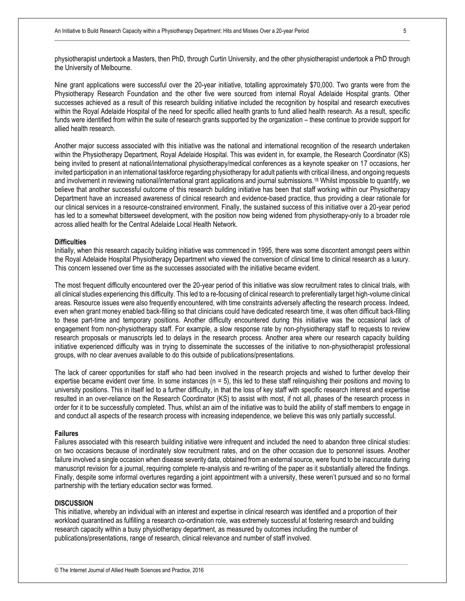physiotherapist undertook a Masters, then PhD, through Curtin University, and the other physiotherapist undertook a PhD through the University of Melbourne.

Nine grant applications were successful over the 20-year initiative, totalling approximately \$70,000. Two grants were from the Physiotherapy Research Foundation and the other five were sourced from internal Royal Adelaide Hospital grants. Other successes achieved as a result of this research building initiative included the recognition by hospital and research executives within the Royal Adelaide Hospital of the need for specific allied health grants to fund allied health research. As a result, specific funds were identified from within the suite of research grants supported by the organization – these continue to provide support for allied health research.

Another major success associated with this initiative was the national and international recognition of the research undertaken within the Physiotherapy Department, Royal Adelaide Hospital. This was evident in, for example, the Research Coordinator (KS) being invited to present at national/international physiotherapy/medical conferences as a keynote speaker on 17 occasions, her invited participation in an international taskforce regarding physiotherapy for adult patients with critical illness, and ongoing requests and involvement in reviewing national/international grant applications and journal submissions.<sup>18</sup> Whilst impossible to quantify, we believe that another successful outcome of this research building initiative has been that staff working within our Physiotherapy Department have an increased awareness of clinical research and evidence-based practice, thus providing a clear rationale for our clinical services in a resource-constrained environment. Finally, the sustained success of this initiative over a 20-year period has led to a somewhat bittersweet development, with the position now being widened from physiotherapy-only to a broader role across allied health for the Central Adelaide Local Health Network.

#### **Difficulties**

Initially, when this research capacity building initiative was commenced in 1995, there was some discontent amongst peers within the Royal Adelaide Hospital Physiotherapy Department who viewed the conversion of clinical time to clinical research as a luxury. This concern lessened over time as the successes associated with the initiative became evident.

The most frequent difficulty encountered over the 20-year period of this initiative was slow recruitment rates to clinical trials, with all clinical studies experiencing this difficulty. This led to a re-focusing of clinical research to preferentially target high-volume clinical areas. Resource issues were also frequently encountered, with time constraints adversely affecting the research process. Indeed, even when grant money enabled back-filling so that clinicians could have dedicated research time, it was often difficult back-filling to these part-time and temporary positions. Another difficulty encountered during this initiative was the occasional lack of engagement from non-physiotherapy staff. For example, a slow response rate by non-physiotherapy staff to requests to review research proposals or manuscripts led to delays in the research process. Another area where our research capacity building initiative experienced difficulty was in trying to disseminate the successes of the initiative to non-physiotherapist professional groups, with no clear avenues available to do this outside of publications/presentations.

The lack of career opportunities for staff who had been involved in the research projects and wished to further develop their expertise became evident over time. In some instances  $(n = 5)$ , this led to these staff relinguishing their positions and moving to university positions. This in itself led to a further difficulty, in that the loss of key staff with specific research interest and expertise resulted in an over-reliance on the Research Coordinator (KS) to assist with most, if not all, phases of the research process in order for it to be successfully completed. Thus, whilst an aim of the initiative was to build the ability of staff members to engage in and conduct all aspects of the research process with increasing independence, we believe this was only partially successful.

#### **Failures**

Failures associated with this research building initiative were infrequent and included the need to abandon three clinical studies: on two occasions because of inordinately slow recruitment rates, and on the other occasion due to personnel issues. Another failure involved a single occasion when disease severity data, obtained from an external source, were found to be inaccurate during manuscript revision for a journal, requiring complete re-analysis and re-writing of the paper as it substantially altered the findings. Finally, despite some informal overtures regarding a joint appointment with a university, these weren't pursued and so no formal partnership with the tertiary education sector was formed.

#### **DISCUSSION**

This initiative, whereby an individual with an interest and expertise in clinical research was identified and a proportion of their workload quarantined as fulfilling a research co-ordination role, was extremely successful at fostering research and building research capacity within a busy physiotherapy department, as measured by outcomes including the number of publications/presentations, range of research, clinical relevance and number of staff involved.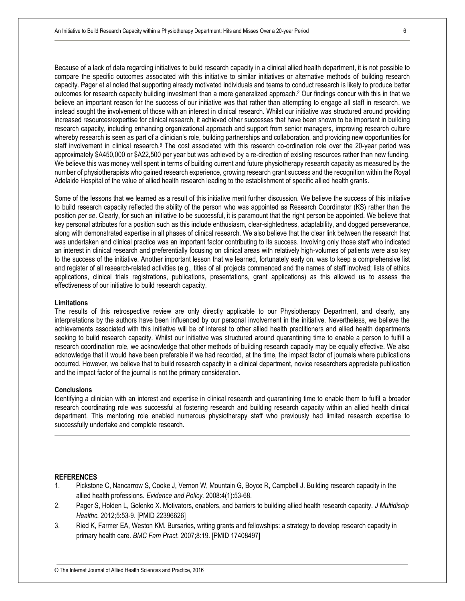Because of a lack of data regarding initiatives to build research capacity in a clinical allied health department, it is not possible to compare the specific outcomes associated with this initiative to similar initiatives or alternative methods of building research capacity. Pager et al noted that supporting already motivated individuals and teams to conduct research is likely to produce better outcomes for research capacity building investment than a more generalized approach.<sup>2</sup> Our findings concur with this in that we believe an important reason for the success of our initiative was that rather than attempting to engage all staff in research, we instead sought the involvement of those with an interest in clinical research. Whilst our initiative was structured around providing increased resources/expertise for clinical research, it achieved other successes that have been shown to be important in building research capacity, including enhancing organizational approach and support from senior managers, improving research culture whereby research is seen as part of a clinician's role, building partnerships and collaboration, and providing new opportunities for staff involvement in clinical research.<sup>8</sup> The cost associated with this research co-ordination role over the 20-year period was approximately \$A450,000 or \$A22,500 per year but was achieved by a re-direction of existing resources rather than new funding. We believe this was money well spent in terms of building current and future physiotherapy research capacity as measured by the number of physiotherapists who gained research experience, growing research grant success and the recognition within the Royal Adelaide Hospital of the value of allied health research leading to the establishment of specific allied health grants.

Some of the lessons that we learned as a result of this initiative merit further discussion. We believe the success of this initiative to build research capacity reflected the ability of the person who was appointed as Research Coordinator (KS) rather than the position *per se*. Clearly, for such an initiative to be successful, it is paramount that the right person be appointed. We believe that key personal attributes for a position such as this include enthusiasm, clear-sightedness, adaptability, and dogged perseverance, along with demonstrated expertise in all phases of clinical research. We also believe that the clear link between the research that was undertaken and clinical practice was an important factor contributing to its success. Involving only those staff who indicated an interest in clinical research and preferentially focusing on clinical areas with relatively high-volumes of patients were also key to the success of the initiative. Another important lesson that we learned, fortunately early on, was to keep a comprehensive list and register of all research-related activities (e.g., titles of all projects commenced and the names of staff involved; lists of ethics applications, clinical trials registrations, publications, presentations, grant applications) as this allowed us to assess the effectiveness of our initiative to build research capacity.

#### **Limitations**

The results of this retrospective review are only directly applicable to our Physiotherapy Department, and clearly, any interpretations by the authors have been influenced by our personal involvement in the initiative. Nevertheless, we believe the achievements associated with this initiative will be of interest to other allied health practitioners and allied health departments seeking to build research capacity. Whilst our initiative was structured around quarantining time to enable a person to fulfill a research coordination role, we acknowledge that other methods of building research capacity may be equally effective. We also acknowledge that it would have been preferable if we had recorded, at the time, the impact factor of journals where publications occurred. However, we believe that to build research capacity in a clinical department, novice researchers appreciate publication and the impact factor of the journal is not the primary consideration.

#### **Conclusions**

Identifying a clinician with an interest and expertise in clinical research and quarantining time to enable them to fulfil a broader research coordinating role was successful at fostering research and building research capacity within an allied health clinical department. This mentoring role enabled numerous physiotherapy staff who previously had limited research expertise to successfully undertake and complete research.

#### **REFERENCES**

- 1. Pickstone C, Nancarrow S, Cooke J, Vernon W, Mountain G, Boyce R, Campbell J. Building research capacity in the allied health professions. *Evidence and Policy.* 2008:4(1):53-68.
- 2. Pager S, Holden L, Golenko X. Motivators, enablers, and barriers to building allied health research capacity. *J Multidiscip Healthc.* 2012;5:53-9. [PMID 22396626]
- 3. Ried K, Farmer EA, Weston KM. Bursaries, writing grants and fellowships: a strategy to develop research capacity in primary health care. *BMC Fam Pract.* 2007;8:19. [PMID 17408497]